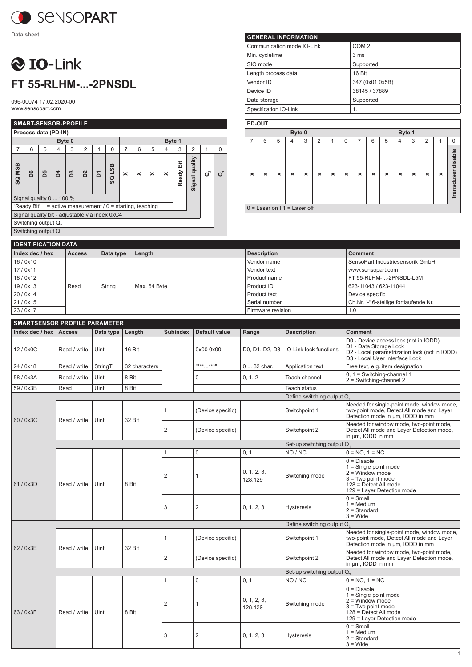

## **O** IO-Link **FT 55-RLHM-...-2PNSDL**

096-00074 17.02.2020-00 www.sensopart.com

|                                 | <b>SMART-SENSOR-PROFILE</b> |                         |                |        |                |                                                                 |                                       |                                                                                             |   |   |   |        |                |  |          |
|---------------------------------|-----------------------------|-------------------------|----------------|--------|----------------|-----------------------------------------------------------------|---------------------------------------|---------------------------------------------------------------------------------------------|---|---|---|--------|----------------|--|----------|
| Process data (PD-IN)            |                             |                         |                |        |                |                                                                 |                                       |                                                                                             |   |   |   |        |                |  |          |
|                                 |                             |                         |                | Byte 0 |                |                                                                 |                                       |                                                                                             |   |   |   | Byte 1 |                |  |          |
| $\overline{7}$                  | 6                           | 5                       | 4              | 3      | $\overline{2}$ | 1                                                               | $\Omega$                              | 7                                                                                           | 6 | 5 | 4 | 3      | $\overline{2}$ |  | $\Omega$ |
| SQ MSB                          | D6                          | 5G                      | $\overline{a}$ | B3     | D <sup>2</sup> | Σ                                                               | <b>EST</b><br>$\overline{\mathbf{a}}$ | Signal quality<br>ä<br>Ready<br>$\mathbf{o}^{\circ}$<br>$\times$<br>×<br>$\times$<br>×<br>σ |   |   |   |        |                |  |          |
|                                 |                             | Signal quality 0  100 % |                |        |                |                                                                 |                                       |                                                                                             |   |   |   |        |                |  |          |
|                                 |                             |                         |                |        |                | "Ready Bit" $1 =$ active measurement $/ 0 =$ starting, teaching |                                       |                                                                                             |   |   |   |        |                |  |          |
|                                 |                             |                         |                |        |                | Signal quality bit - adjustable via index 0xC4                  |                                       |                                                                                             |   |   |   |        |                |  |          |
| Switching output Q <sub>2</sub> |                             |                         |                |        |                |                                                                 |                                       |                                                                                             |   |   |   |        |                |  |          |
|                                 |                             | Switching output Q      |                |        |                |                                                                 |                                       |                                                                                             |   |   |   |        |                |  |          |
|                                 |                             |                         |                |        |                |                                                                 |                                       |                                                                                             |   |   |   |        |                |  |          |

| <b>GENERAL INFORMATION</b> |                  |  |  |  |  |  |  |
|----------------------------|------------------|--|--|--|--|--|--|
| Communication mode IO-Link | COM <sub>2</sub> |  |  |  |  |  |  |
| Min. cycletime             | 3 <sub>ms</sub>  |  |  |  |  |  |  |
| SIO mode                   | Supported        |  |  |  |  |  |  |
| Length process data        | 16 Bit           |  |  |  |  |  |  |
| Vendor ID                  | 347 (0x01 0x5B)  |  |  |  |  |  |  |
| Device ID                  | 38145 / 37889    |  |  |  |  |  |  |
| Data storage               | Supported        |  |  |  |  |  |  |
| Specification IO-Link      | 1.1              |  |  |  |  |  |  |

|                | PD-OUT                          |   |          |          |                |          |          |   |          |   |                |          |   |          |                    |
|----------------|---------------------------------|---|----------|----------|----------------|----------|----------|---|----------|---|----------------|----------|---|----------|--------------------|
| Byte 0         |                                 |   |          |          |                |          |          |   | Byte 1   |   |                |          |   |          |                    |
| $\overline{7}$ | 6                               | 5 | 4        | 3        | $\overline{2}$ | 1        | 0        | 7 | 6        | 5 | $\overline{4}$ | 3        | 2 | 1        | 0                  |
| $\times$       | ×                               | × | $\times$ | $\times$ | ×              | $\times$ | $\times$ | × | $\times$ | × | ×              | $\times$ | × | $\times$ | Transduser disable |
|                | $0 =$ Laser on $11 =$ Laser off |   |          |          |                |          |          |   |          |   |                |          |   |          |                    |

| <b>IDENTIFICATION DATA</b> |               |           |              |  |                    |                                        |  |  |  |
|----------------------------|---------------|-----------|--------------|--|--------------------|----------------------------------------|--|--|--|
| Index dec / hex            | <b>Access</b> | Data type | Length       |  | <b>Description</b> | <b>Comment</b>                         |  |  |  |
| 16/0x10                    |               |           | Max. 64 Byte |  | Vendor name        | SensoPart Industriesensorik GmbH       |  |  |  |
| 17/0x11                    |               | String    |              |  | Vendor text        | www.sensopart.com                      |  |  |  |
| 18/0x12                    |               |           |              |  | Product name       | FT 55-RLHM--2PNSDL-L5M                 |  |  |  |
| 19/0x13                    | Read          |           |              |  | Product ID         | 623-11043 / 623-11044                  |  |  |  |
| 20/0x14                    |               |           |              |  | Product text       | Device specific                        |  |  |  |
| 21/0x15                    |               |           |              |  | Serial number      | Ch.Nr. "-" 6-stellige fortlaufende Nr. |  |  |  |
| 23/0x17                    |               |           |              |  | Firmware revision  | 1.0                                    |  |  |  |

|                 | <b>SMARTSENSOR PROFILE PARAMETER</b> |           |               |                 |                   |                        |                               |                                                                                                                                                    |  |  |  |  |
|-----------------|--------------------------------------|-----------|---------------|-----------------|-------------------|------------------------|-------------------------------|----------------------------------------------------------------------------------------------------------------------------------------------------|--|--|--|--|
| Index dec / hex | <b>Access</b>                        | Data type | Length        | <b>Subindex</b> | Default value     | Range                  | <b>Description</b>            | <b>Comment</b>                                                                                                                                     |  |  |  |  |
| 12 / 0x0C       | Read / write                         | Uint      | 16 Bit        |                 | 0x00 0x00         | D0, D1, D2, D3         | <b>IO-Link lock functions</b> | D0 - Device access lock (not in IODD)<br>D1 - Data Storage Lock<br>D2 - Local parametrization lock (not in IODD)<br>D3 - Local User Interface Lock |  |  |  |  |
| 24 / 0x18       | Read / write                         | StringT   | 32 characters |                 | $\cdots$          | 0  32 char.            | Application text              | Free text, e.g. item designation                                                                                                                   |  |  |  |  |
| 58 / 0x3A       | Read / write                         | Uint      | 8 Bit         |                 | $\Omega$          | 0, 1, 2                | Teach channel                 | $0, 1$ = Switching-channel 1<br>$2 =$ Switching-channel 2                                                                                          |  |  |  |  |
| 59 / 0x3B       | Read                                 | Uint      | 8 Bit         |                 |                   |                        | <b>Teach status</b>           |                                                                                                                                                    |  |  |  |  |
|                 |                                      |           |               |                 |                   |                        | Define switching output Q.    |                                                                                                                                                    |  |  |  |  |
| 60 / 0x3C       |                                      |           | 32 Bit        | 1               | (Device specific) |                        | Switchpoint 1                 | Needed for single-point mode, window mode,<br>two-point mode, Detect All mode and Layer<br>Detection mode in um, IODD in mm                        |  |  |  |  |
|                 | Read / write                         | Uint      |               | $\overline{2}$  | (Device specific) |                        | Switchpoint 2                 | Needed for window mode, two-point mode,<br>Detect All mode and Layer Detection mode,<br>in µm, IODD in mm                                          |  |  |  |  |
|                 |                                      |           |               |                 |                   |                        | Set-up switching output Q     |                                                                                                                                                    |  |  |  |  |
|                 | Read / write                         | Uint      | 8 Bit         | 1               | $\mathbf 0$       | 0, 1                   | NO / NC                       | $0 = NO, 1 = NC$                                                                                                                                   |  |  |  |  |
| 61/0x3D         |                                      |           |               | 2               | 1                 | 0, 1, 2, 3,<br>128,129 | Switching mode                | $0 = Disable$<br>$1 =$ Single point mode<br>$2 =$ Window mode<br>$3 = Two point mode$<br>128 = Detect All mode<br>129 = Layer Detection mode       |  |  |  |  |
|                 |                                      |           |               | 3               | $\overline{2}$    | 0, 1, 2, 3             | <b>Hysteresis</b>             | $0 =$ Small<br>$1 = \text{Median}$<br>$2 = Standard$<br>$3 =$ Wide                                                                                 |  |  |  |  |
|                 |                                      |           |               |                 |                   |                        | Define switching output Q     |                                                                                                                                                    |  |  |  |  |
| 62 / 0x3E       | Read / write                         | Uint      | 32 Bit        | 1               | (Device specific) |                        | Switchpoint 1                 | Needed for single-point mode, window mode,<br>two-point mode, Detect All mode and Layer<br>Detection mode in um, IODD in mm                        |  |  |  |  |
|                 |                                      |           |               | $\overline{2}$  | (Device specific) |                        | Switchpoint 2                 | Needed for window mode, two-point mode,<br>Detect All mode and Layer Detection mode,<br>in um, IODD in mm                                          |  |  |  |  |
|                 |                                      |           |               |                 |                   |                        | Set-up switching output Q.    |                                                                                                                                                    |  |  |  |  |
|                 |                                      |           |               | 1               | $\Omega$          | 0, 1                   | NO / NC                       | $0 = NO. 1 = NC$                                                                                                                                   |  |  |  |  |
| 63 / 0x3F       | Read / write                         | Uint      | 8 Bit         | 2               | 1                 | 0, 1, 2, 3,<br>128,129 | Switching mode                | $0 = Disable$<br>$1 =$ Single point mode<br>$2 =$ Window mode<br>$3 = Two point mode$<br>128 = Detect All mode<br>129 = Layer Detection mode       |  |  |  |  |
|                 |                                      |           |               | 3               | $\overline{2}$    | 0, 1, 2, 3             | Hysteresis                    | $0 =$ Small<br>$1 = \text{Median}$<br>$2 =$ Standard<br>$3 =$ Wide                                                                                 |  |  |  |  |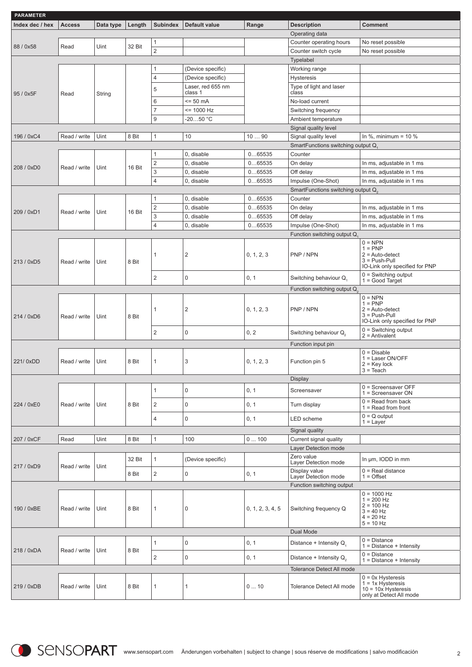| <b>PARAMETER</b> |               |           |        |                         |                   |                  |                                          |                                                  |
|------------------|---------------|-----------|--------|-------------------------|-------------------|------------------|------------------------------------------|--------------------------------------------------|
| Index dec / hex  | <b>Access</b> | Data type | Length | <b>Subindex</b>         | Default value     | Range            | <b>Description</b>                       | <b>Comment</b>                                   |
|                  |               |           |        |                         |                   |                  | Operating data                           |                                                  |
|                  |               |           |        | 1                       |                   |                  | Counter operating hours                  | No reset possible                                |
| 88 / 0x58        | Read          | Uint      | 32 Bit |                         |                   |                  |                                          |                                                  |
|                  |               |           |        | $\overline{c}$          |                   |                  | Counter switch cycle                     | No reset possible                                |
|                  |               |           |        |                         |                   |                  | Typelabel                                |                                                  |
|                  |               |           |        | 1                       | (Device specific) |                  | Working range                            |                                                  |
|                  |               |           |        | 4                       | (Device specific) |                  | <b>Hysteresis</b>                        |                                                  |
|                  |               | String    |        |                         | Laser, red 655 nm |                  | Type of light and laser                  |                                                  |
| 95 / 0x5F        | Read          |           |        | 5                       | class 1           |                  | class                                    |                                                  |
|                  |               |           |        | 6                       | $= 50$ mA         |                  | No-load current                          |                                                  |
|                  |               |           |        | 7                       | $= 1000 Hz$       |                  | Switching frequency                      |                                                  |
|                  |               |           |        | 9                       | $-2050 °C$        |                  | Ambient temperature                      |                                                  |
|                  |               |           |        |                         |                   |                  |                                          |                                                  |
|                  |               |           |        |                         |                   |                  | Signal quality level                     |                                                  |
| 196 / 0xC4       | Read / write  | Uint      | 8 Bit  | 1                       | 10                | 1090             | Signal quality level                     | In %, minimum = $10$ %                           |
|                  |               |           |        |                         |                   |                  | SmartFunctions switching output Q        |                                                  |
|                  |               |           |        | 1                       | 0, disable        | 065535           | Counter                                  |                                                  |
|                  |               |           |        | $\overline{\mathbf{c}}$ | 0, disable        | 065535           | On delay                                 | In ms, adjustable in 1 ms                        |
| 208 / 0xD0       | Read / write  | Uint      | 16 Bit | 3                       | 0, disable        | 065535           | Off delay                                | In ms, adjustable in 1 ms                        |
|                  |               |           |        |                         |                   |                  |                                          |                                                  |
|                  |               |           |        | 4                       | 0, disable        | 065535           | Impulse (One-Shot)                       | In ms, adjustable in 1 ms                        |
|                  |               |           |        |                         |                   |                  | SmartFunctions switching output Q.       |                                                  |
|                  |               |           |        | 1                       | 0, disable        | 065535           | Counter                                  |                                                  |
|                  |               |           |        | $\overline{\mathbf{c}}$ | 0, disable        | 065535           | On delay                                 | In ms, adjustable in 1 ms                        |
| 209 / 0xD1       | Read / write  | Uint      | 16 Bit | 3                       | 0, disable        | 065535           | Off delay                                | In ms, adjustable in 1 ms                        |
|                  |               |           |        | 4                       | 0, disable        | 065535           | Impulse (One-Shot)                       | In ms, adjustable in 1 ms                        |
|                  |               |           |        |                         |                   |                  |                                          |                                                  |
|                  |               |           |        |                         |                   |                  | Function switching output Q.             |                                                  |
|                  |               |           |        |                         |                   |                  |                                          | $0 = NPN$<br>$1 = PNP$                           |
|                  |               |           |        | 1                       | $\overline{2}$    | 0, 1, 2, 3       | PNP / NPN                                | $2 = Auto-detect$                                |
| 213 / 0xD5       | Read / write  | Uint      | 8 Bit  |                         |                   |                  |                                          | $3 = Push-Pull$                                  |
|                  |               |           |        |                         |                   |                  |                                          | IO-Link only specified for PNP                   |
|                  |               |           |        | 2                       | 0                 | 0, 1             | Switching behaviour Q,                   | $0 =$ Switching output                           |
|                  |               |           |        |                         |                   |                  |                                          | $1 = Good Target$                                |
|                  |               |           |        |                         |                   |                  | Function switching output Q <sub>2</sub> |                                                  |
|                  |               |           |        |                         |                   |                  |                                          | $0 = NPN$                                        |
|                  |               |           |        |                         |                   |                  |                                          | $1 = PNP$                                        |
|                  |               |           |        | 1                       | $\overline{2}$    | 0, 1, 2, 3       | PNP / NPN                                | $2 = Auto-detect$<br>$3 = Push-Pull$             |
| 214 / 0xD6       | Read / write  | Uint      | 8 Bit  |                         |                   |                  |                                          | IO-Link only specified for PNP                   |
|                  |               |           |        |                         |                   |                  |                                          | 0 = Switching output                             |
|                  |               |           |        | 2                       | 0                 | 0, 2             | Switching behaviour Q <sub>2</sub>       | $2 =$ Antivalent                                 |
|                  |               |           |        |                         |                   |                  | Function input pin                       |                                                  |
|                  |               |           |        |                         |                   |                  |                                          | $0 = Disable$                                    |
| 221/0xDD         | Read / write  | Uint      | 8 Bit  | 1                       | 3                 |                  | Function pin 5                           | 1 = Laser ON/OFF                                 |
|                  |               |           |        |                         |                   | 0, 1, 2, 3       |                                          | $2 =$ Key lock                                   |
|                  |               |           |        |                         |                   |                  |                                          | $3 =$ Teach                                      |
|                  |               |           |        |                         |                   |                  | Display                                  |                                                  |
|                  |               |           |        | 1                       | $\mathsf 0$       | 0, 1             | Screensaver                              | $0 =$ Screensaver OFF                            |
|                  |               |           |        |                         |                   |                  |                                          | 1 = Screensaver ON                               |
| 224 / 0xE0       | Read / write  | Uint      | 8 Bit  | $\overline{\mathbf{c}}$ | $\mathsf 0$       | 0, 1             | Turn display                             | $0 =$ Read from back                             |
|                  |               |           |        |                         |                   |                  |                                          | $1 =$ Read from front                            |
|                  |               |           |        | 4                       | 0                 | 0, 1             | LED scheme                               | $0 = Q$ output                                   |
|                  |               |           |        |                         |                   |                  |                                          | $1 = Layer$                                      |
|                  |               |           |        |                         |                   |                  | Signal quality                           |                                                  |
| 207 / 0xCF       | Read          | Uint      | 8 Bit  | 1                       | 100               | 0100             | Current signal quality                   |                                                  |
|                  |               |           |        |                         |                   |                  | Layer Detection mode                     |                                                  |
|                  |               |           | 32 Bit | 1                       | (Device specific) |                  | Zero value                               | In µm, IODD in mm                                |
| 217 / 0xD9       | Read / write  | Uint      |        |                         |                   |                  | Layer Detection mode                     |                                                  |
|                  |               |           | 8 Bit  | $\overline{2}$          | 0                 | 0, 1             | Display value                            | $0 = Real distance$                              |
|                  |               |           |        |                         |                   |                  | Layer Detection mode                     | $1 =$ Offset                                     |
|                  |               |           |        |                         |                   |                  | Function switching output                |                                                  |
|                  |               |           |        |                         |                   |                  |                                          | $0 = 1000 Hz$                                    |
|                  |               |           |        |                         |                   |                  |                                          | $1 = 200$ Hz                                     |
| 190 / 0xBE       | Read / write  | Uint      | 8 Bit  | 1                       | 0                 | 0, 1, 2, 3, 4, 5 | Switching frequency Q                    | $2 = 100$ Hz<br>$3 = 40$ Hz                      |
|                  |               |           |        |                         |                   |                  |                                          | $4 = 20 Hz$                                      |
|                  |               |           |        |                         |                   |                  |                                          | $5 = 10$ Hz                                      |
|                  |               |           |        |                         |                   |                  | Dual Mode                                |                                                  |
|                  |               |           |        |                         |                   |                  |                                          | $0 = Distance$                                   |
|                  |               |           |        | 1                       | $\mathbf 0$       | 0, 1             | Distance + Intensity $Q_1$               | $1 = Distance + Intensity$                       |
| 218 / 0xDA       | Read / write  | Uint      | 8 Bit  | 2                       | $\mathsf 0$       | 0, 1             | Distance + Intensity $Q_2$               | $0 = Distance$                                   |
|                  |               |           |        |                         |                   |                  |                                          | $1 = Distance + Intensity$                       |
|                  |               |           |        |                         |                   |                  | <b>Tolerance Detect All mode</b>         |                                                  |
|                  |               |           |        |                         |                   |                  |                                          | $0 = 0x$ Hysteresis                              |
| 219 / 0xDB       | Read / write  | Uint      | 8 Bit  | 1                       | 1                 | 010              | Tolerance Detect All mode                | $1 = 1x$ Hysteresis                              |
|                  |               |           |        |                         |                   |                  |                                          | $10 = 10x$ Hysteresis<br>only at Detect All mode |
|                  |               |           |        |                         |                   |                  |                                          |                                                  |

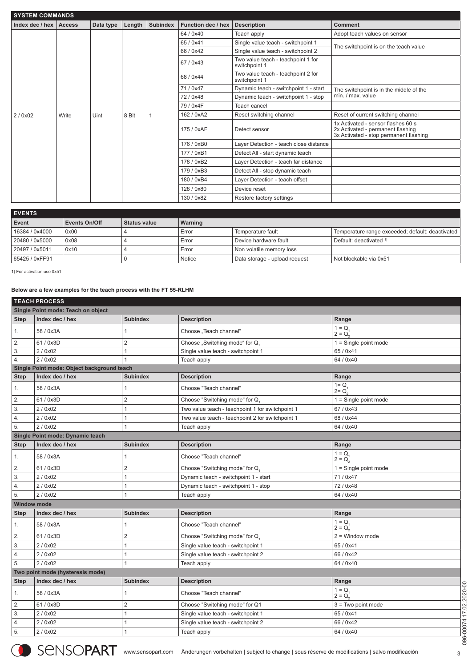| <b>SYSTEM COMMANDS</b>     |       |           |        |                 |                    |                                                     |                                                                                                                   |  |  |  |  |
|----------------------------|-------|-----------|--------|-----------------|--------------------|-----------------------------------------------------|-------------------------------------------------------------------------------------------------------------------|--|--|--|--|
| Index dec / hex $ $ Access |       | Data type | Length | <b>Subindex</b> | Function dec / hex | <b>Description</b>                                  | <b>Comment</b>                                                                                                    |  |  |  |  |
|                            |       |           |        |                 | 64 / 0x40          | Teach apply                                         | Adopt teach values on sensor                                                                                      |  |  |  |  |
|                            |       |           |        |                 | 65/0x41            | Single value teach - switchpoint 1                  | The switchpoint is on the teach value                                                                             |  |  |  |  |
|                            |       |           |        |                 | 66 / 0x42          | Single value teach - switchpoint 2                  |                                                                                                                   |  |  |  |  |
|                            |       |           |        |                 | 67 / 0x43          | Two value teach - teachpoint 1 for<br>switchpoint 1 |                                                                                                                   |  |  |  |  |
|                            |       | Uint      | 8 Bit  |                 | 68 / 0x44          | Two value teach - teachpoint 2 for<br>switchpoint 1 |                                                                                                                   |  |  |  |  |
|                            |       |           |        |                 | 71/0x47            | Dynamic teach - switchpoint 1 - start               | The switchpoint is in the middle of the                                                                           |  |  |  |  |
|                            |       |           |        |                 | 72/0x48            | Dynamic teach - switchpoint 1 - stop                | min. / max. value                                                                                                 |  |  |  |  |
|                            | Write |           |        |                 | 79 / 0x4F          | Teach cancel                                        |                                                                                                                   |  |  |  |  |
| 2/0x02                     |       |           |        |                 | 162 / 0xA2         | Reset switching channel                             | Reset of current switching channel                                                                                |  |  |  |  |
|                            |       |           |        |                 | 175 / 0xAF         | Detect sensor                                       | 1x Activated - sensor flashes 60 s<br>2x Activated - permanent flashing<br>3x Activated - stop permanent flashing |  |  |  |  |
|                            |       |           |        |                 | 176 / 0xB0         | Layer Detection - teach close distance              |                                                                                                                   |  |  |  |  |
|                            |       |           |        |                 | 177 / 0xB1         | Detect All - start dynamic teach                    |                                                                                                                   |  |  |  |  |
|                            |       |           |        |                 | 178 / 0xB2         | Layer Detection - teach far distance                |                                                                                                                   |  |  |  |  |
|                            |       |           |        |                 | 179 / 0xB3         | Detect All - stop dynamic teach                     |                                                                                                                   |  |  |  |  |
|                            |       |           |        |                 | 180 / 0xB4         | Layer Detection - teach offset                      |                                                                                                                   |  |  |  |  |
|                            |       |           |        |                 | 128 / 0x80         | Device reset                                        |                                                                                                                   |  |  |  |  |
|                            |       |           |        |                 | 130 / 0x82         | Restore factory settings                            |                                                                                                                   |  |  |  |  |

| <b>EVENTS</b>  |                      |              |         |                               |                                                  |  |  |  |  |  |
|----------------|----------------------|--------------|---------|-------------------------------|--------------------------------------------------|--|--|--|--|--|
| Event          | <b>Events On/Off</b> | Status value | Warning |                               |                                                  |  |  |  |  |  |
| 16384 / 0x4000 | 0x00                 |              | Error   | Temperature fault             | Temperature range exceeded; default: deactivated |  |  |  |  |  |
| 20480 / 0x5000 | 0x08                 |              | Error   | Device hardware fault         | Default: deactivated 1)                          |  |  |  |  |  |
| 20497 / 0x5011 | 0x10                 |              | Error   | Non volatile memory loss      |                                                  |  |  |  |  |  |
| 65425 / 0xFF91 |                      |              | Notice  | Data storage - upload request | Not blockable via 0x51                           |  |  |  |  |  |

1) For activation use 0x51

## **Below are a few examples for the teach process with the FT 55-RLHM**

## **TEACH PROCESS**

|             | Single Point mode: Teach on object         |                 |                                                  |                          |  |  |  |  |  |  |  |
|-------------|--------------------------------------------|-----------------|--------------------------------------------------|--------------------------|--|--|--|--|--|--|--|
| <b>Step</b> | Index dec / hex                            | <b>Subindex</b> | <b>Description</b>                               | Range                    |  |  |  |  |  |  |  |
| 1.          | 58 / 0x3A                                  | $\mathbf{1}$    | Choose "Teach channel"                           | $1 = Q$<br>$2 = Q_2$     |  |  |  |  |  |  |  |
| 2.          | 61 / 0x3D                                  | $\overline{2}$  | Choose "Switching mode" for Q.                   | $1 =$ Single point mode  |  |  |  |  |  |  |  |
| 3.          | 2/0x02                                     | $\mathbf{1}$    | Single value teach - switchpoint 1               | 65 / 0x41                |  |  |  |  |  |  |  |
| 4.          | 2/0x02                                     | $\mathbf{1}$    | Teach apply                                      | 64 / 0x40                |  |  |  |  |  |  |  |
|             | Single Point mode: Object background teach |                 |                                                  |                          |  |  |  |  |  |  |  |
| <b>Step</b> | Index dec / hex                            | <b>Subindex</b> | <b>Description</b>                               | Range                    |  |  |  |  |  |  |  |
| 1.          | 58 / 0x3A                                  | $\mathbf{1}$    | Choose "Teach channel"                           | $1 = Q$<br>$2 = Q_0$     |  |  |  |  |  |  |  |
| 2.          | 61 / 0x3D                                  | $\overline{2}$  | Choose "Switching mode" for Q                    | $1 =$ Single point mode  |  |  |  |  |  |  |  |
| 3.          | 2/0x02                                     | $\mathbf{1}$    | Two value teach - teachpoint 1 for switchpoint 1 | 67/0x43                  |  |  |  |  |  |  |  |
| 4.          | 2/0x02                                     | $\mathbf{1}$    | Two value teach - teachpoint 2 for switchpoint 1 | 68 / 0x44                |  |  |  |  |  |  |  |
| 5.          | 2/0x02                                     | $\mathbf{1}$    | Teach apply                                      | 64 / 0x40                |  |  |  |  |  |  |  |
|             | Single Point mode: Dynamic teach           |                 |                                                  |                          |  |  |  |  |  |  |  |
| <b>Step</b> | Index dec / hex                            | <b>Subindex</b> | <b>Description</b>                               | Range                    |  |  |  |  |  |  |  |
| 1.          | 58 / 0x3A                                  | $\mathbf{1}$    | Choose "Teach channel"                           | $1 = Q$ .<br>$2 = Q_{2}$ |  |  |  |  |  |  |  |
| 2.          | 61 / 0x3D                                  | $\overline{2}$  | Choose "Switching mode" for Q.                   | $1 =$ Single point mode  |  |  |  |  |  |  |  |
| 3.          | 2/0x02                                     | $\mathbf{1}$    | Dynamic teach - switchpoint 1 - start            | 71/0x47                  |  |  |  |  |  |  |  |
| 4.          | 2/0x02                                     | $\mathbf{1}$    | Dynamic teach - switchpoint 1 - stop             | 72 / 0x48                |  |  |  |  |  |  |  |
| 5.          | 2/0x02                                     | $\mathbf{1}$    | Teach apply                                      | 64 / 0x40                |  |  |  |  |  |  |  |
|             | <b>Window mode</b>                         |                 |                                                  |                          |  |  |  |  |  |  |  |
| <b>Step</b> | Index dec / hex                            | <b>Subindex</b> | <b>Description</b>                               | Range                    |  |  |  |  |  |  |  |
| 1.          | 58 / 0x3A                                  | $\mathbf{1}$    | Choose "Teach channel"                           | $1 = Q$<br>$2 = Q_2$     |  |  |  |  |  |  |  |
| 2.          | 61 / 0x3D                                  | $\overline{c}$  | Choose "Switching mode" for Q.                   | $2 =$ Window mode        |  |  |  |  |  |  |  |
| 3.          | 2/0x02                                     | $\mathbf{1}$    | Single value teach - switchpoint 1               | 65 / 0x41                |  |  |  |  |  |  |  |
| 4.          | 2/0x02                                     | $\mathbf{1}$    | Single value teach - switchpoint 2               | 66 / 0x42                |  |  |  |  |  |  |  |
| 5.          | 2/0x02                                     | $\mathbf{1}$    | Teach apply                                      | 64 / 0x40                |  |  |  |  |  |  |  |
|             | Two point mode (hysteresis mode)           |                 |                                                  |                          |  |  |  |  |  |  |  |
| <b>Step</b> | Index dec / hex                            | <b>Subindex</b> | <b>Description</b>                               | Range                    |  |  |  |  |  |  |  |
| 1.          | 58 / 0x3A                                  | $\mathbf{1}$    | Choose "Teach channel"                           | $1 = Q_1$<br>$2 = Q_{n}$ |  |  |  |  |  |  |  |
| 2.          | 61 / 0x3D                                  | $\overline{2}$  | Choose "Switching mode" for Q1                   | $3 = Two point mode$     |  |  |  |  |  |  |  |
| 3.          | 2/0x02                                     | $\mathbf{1}$    | Single value teach - switchpoint 1               | 65 / 0x41                |  |  |  |  |  |  |  |
| 4.          | 2/0x02                                     | $\mathbf{1}$    | Single value teach - switchpoint 2               | 66 / 0x42                |  |  |  |  |  |  |  |
|             | 2/0x02                                     | $\mathbf{1}$    | Teach apply                                      | 64 / 0x40                |  |  |  |  |  |  |  |